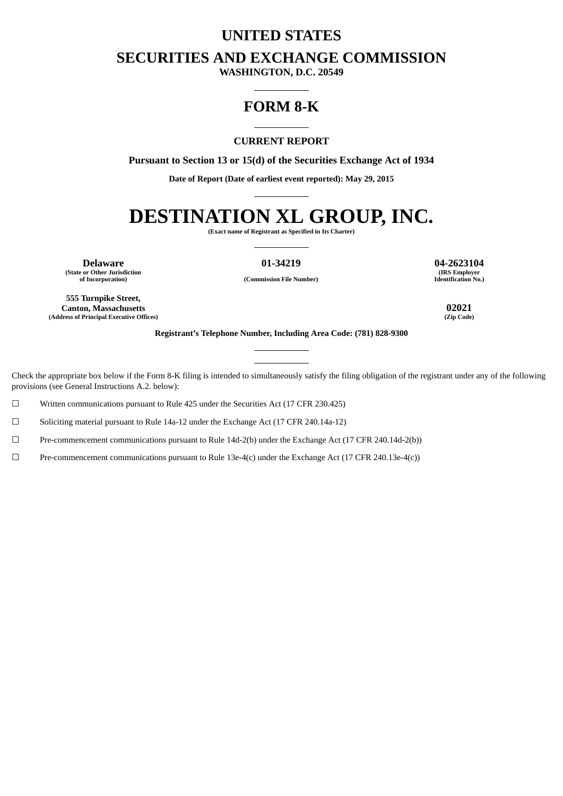# **UNITED STATES**

# **SECURITIES AND EXCHANGE COMMISSION**

**WASHINGTON, D.C. 20549**

# **FORM 8-K**

#### **CURRENT REPORT**

**Pursuant to Section 13 or 15(d) of the Securities Exchange Act of 1934**

**Date of Report (Date of earliest event reported): May 29, 2015**

# **DESTINATION XL GROUP, INC.**

**(Exact name of Registrant as Specified in Its Charter)**

**(State or Other Jurisdiction**

**of Incorporation) (Commission File Number)**

**Delaware 01-34219 04-2623104 (IRS Employer Identification No.)**

**555 Turnpike Street, Canton, Massachusetts 02021 (Address of Principal Executive Offices) (Zip Code)**

**Registrant's Telephone Number, Including Area Code: (781) 828-9300**

Check the appropriate box below if the Form 8-K filing is intended to simultaneously satisfy the filing obligation of the registrant under any of the following provisions (see General Instructions A.2. below):

☐ Written communications pursuant to Rule 425 under the Securities Act (17 CFR 230.425)

☐ Soliciting material pursuant to Rule 14a-12 under the Exchange Act (17 CFR 240.14a-12)

☐ Pre-commencement communications pursuant to Rule 14d-2(b) under the Exchange Act (17 CFR 240.14d-2(b))

☐ Pre-commencement communications pursuant to Rule 13e-4(c) under the Exchange Act (17 CFR 240.13e-4(c))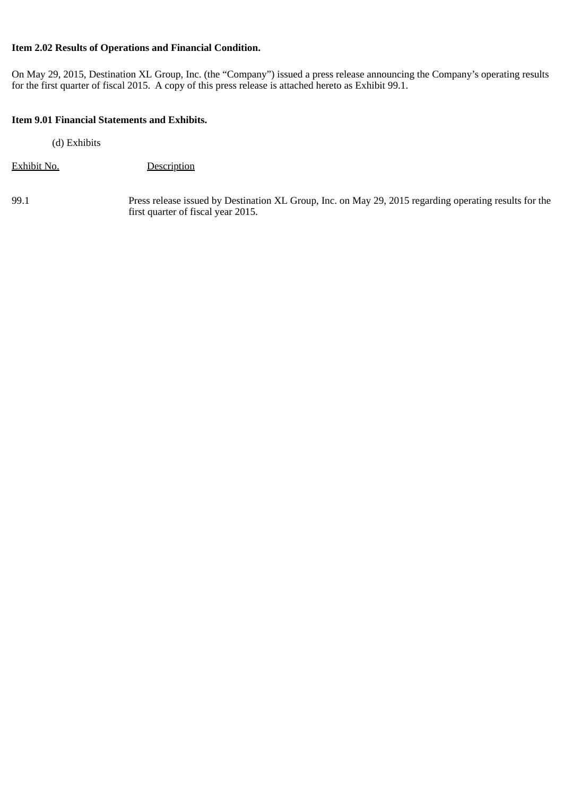# **Item 2.02 Results of Operations and Financial Condition.**

On May 29, 2015, Destination XL Group, Inc. (the "Company") issued a press release announcing the Company's operating results for the first quarter of fiscal 2015. A copy of this press release is attached hereto as Exhibit 99.1.

### **Item 9.01 Financial Statements and Exhibits.**

(d) Exhibits

Exhibit No. Description

99.1 Press release issued by Destination XL Group, Inc. on May 29, 2015 regarding operating results for the first quarter of fiscal year 2015.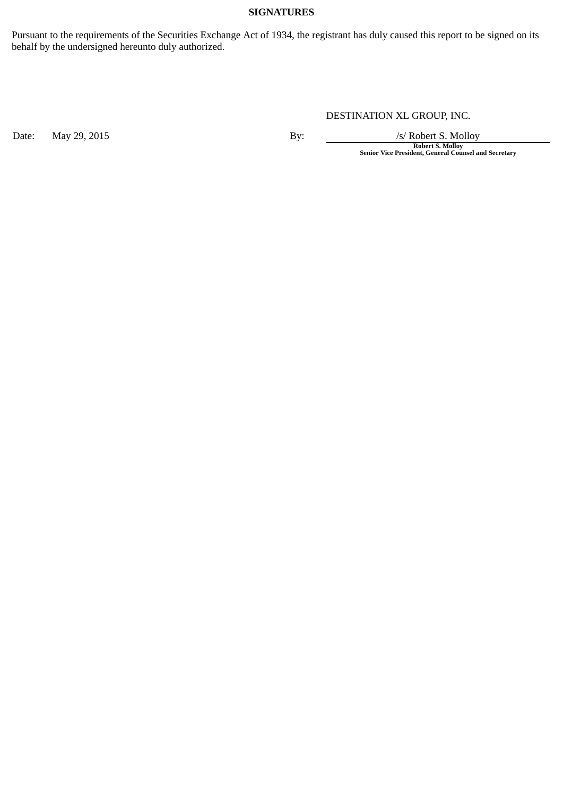#### **SIGNATURES**

Pursuant to the requirements of the Securities Exchange Act of 1934, the registrant has duly caused this report to be signed on its behalf by the undersigned hereunto duly authorized.

# DESTINATION XL GROUP, INC.

Date: May 29, 2015 **By:** By: */s/ Robert S. Molloy* 

**Robert S. Molloy Senior Vice President, General Counsel and Secretary**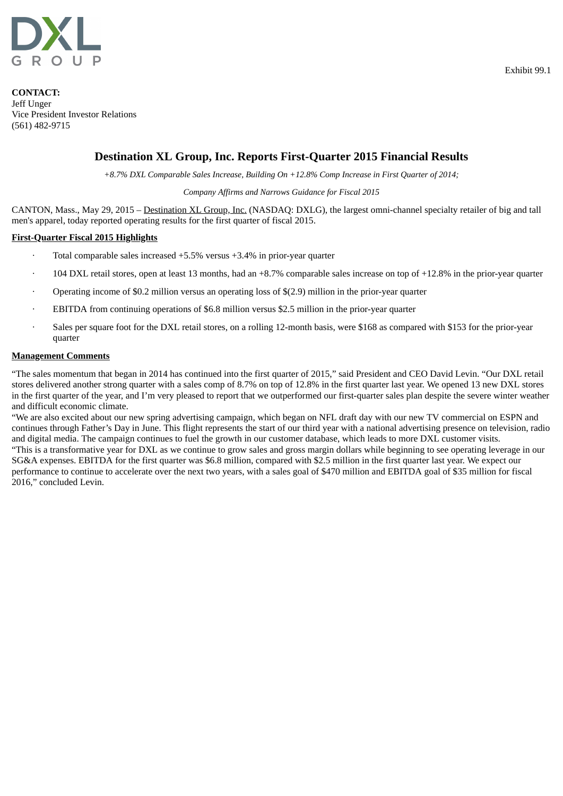

**CONTACT:** Jeff Unger Vice President Investor Relations (561) 482-9715

# **Destination XL Group, Inc. Reports First-Quarter 2015 Financial Results**

*+8.7% DXL Comparable Sales Increase, Building On +12.8% Comp Increase in First Quarter of 2014;*

#### *Company Affirms and Narrows Guidance for Fiscal 2015*

CANTON, Mass., May 29, 2015 – Destination XL Group, Inc. (NASDAQ: DXLG), the largest omni-channel specialty retailer of big and tall men's apparel, today reported operating results for the first quarter of fiscal 2015.

#### **First-Quarter Fiscal 2015 Highlights**

- Total comparable sales increased  $+5.5\%$  versus  $+3.4\%$  in prior-year quarter
- $104$  DXL retail stores, open at least 13 months, had an  $+8.7\%$  comparable sales increase on top of  $+12.8\%$  in the prior-year quarter
- · Operating income of \$0.2 million versus an operating loss of \$(2.9) million in the prior-year quarter
- EBITDA from continuing operations of \$6.8 million versus \$2.5 million in the prior-year quarter
- Sales per square foot for the DXL retail stores, on a rolling 12-month basis, were \$168 as compared with \$153 for the prior-year quarter

#### **Management Comments**

"The sales momentum that began in 2014 has continued into the first quarter of 2015," said President and CEO David Levin. "Our DXL retail stores delivered another strong quarter with a sales comp of 8.7% on top of 12.8% in the first quarter last year. We opened 13 new DXL stores in the first quarter of the year, and I'm very pleased to report that we outperformed our first-quarter sales plan despite the severe winter weather and difficult economic climate.

"We are also excited about our new spring advertising campaign, which began on NFL draft day with our new TV commercial on ESPN and continues through Father's Day in June. This flight represents the start of our third year with a national advertising presence on television, radio and digital media. The campaign continues to fuel the growth in our customer database, which leads to more DXL customer visits. "This is a transformative year for DXL as we continue to grow sales and gross margin dollars while beginning to see operating leverage in our

SG&A expenses. EBITDA for the first quarter was \$6.8 million, compared with \$2.5 million in the first quarter last year. We expect our performance to continue to accelerate over the next two years, with a sales goal of \$470 million and EBITDA goal of \$35 million for fiscal 2016," concluded Levin.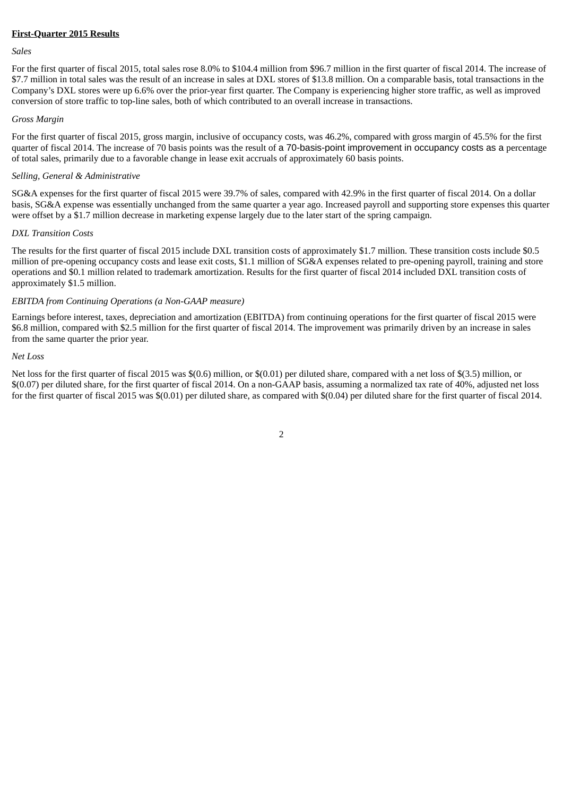#### **First-Quarter 2015 Results**

#### *Sales*

For the first quarter of fiscal 2015, total sales rose 8.0% to \$104.4 million from \$96.7 million in the first quarter of fiscal 2014. The increase of \$7.7 million in total sales was the result of an increase in sales at DXL stores of \$13.8 million. On a comparable basis, total transactions in the Company's DXL stores were up 6.6% over the prior-year first quarter. The Company is experiencing higher store traffic, as well as improved conversion of store traffic to top-line sales, both of which contributed to an overall increase in transactions.

#### *Gross Margin*

For the first quarter of fiscal 2015, gross margin, inclusive of occupancy costs, was 46.2%, compared with gross margin of 45.5% for the first quarter of fiscal 2014. The increase of 70 basis points was the result of a 70-basis-point improvement in occupancy costs as a percentage of total sales, primarily due to a favorable change in lease exit accruals of approximately 60 basis points.

#### *Selling, General & Administrative*

SG&A expenses for the first quarter of fiscal 2015 were 39.7% of sales, compared with 42.9% in the first quarter of fiscal 2014. On a dollar basis, SG&A expense was essentially unchanged from the same quarter a year ago. Increased payroll and supporting store expenses this quarter were offset by a \$1.7 million decrease in marketing expense largely due to the later start of the spring campaign.

#### *DXL Transition Costs*

The results for the first quarter of fiscal 2015 include DXL transition costs of approximately \$1.7 million. These transition costs include \$0.5 million of pre-opening occupancy costs and lease exit costs, \$1.1 million of SG&A expenses related to pre-opening payroll, training and store operations and \$0.1 million related to trademark amortization. Results for the first quarter of fiscal 2014 included DXL transition costs of approximately \$1.5 million.

#### *EBITDA from Continuing Operations (a Non-GAAP measure)*

Earnings before interest, taxes, depreciation and amortization (EBITDA) from continuing operations for the first quarter of fiscal 2015 were \$6.8 million, compared with \$2.5 million for the first quarter of fiscal 2014. The improvement was primarily driven by an increase in sales from the same quarter the prior year.

#### *Net Loss*

Net loss for the first quarter of fiscal 2015 was \$(0.6) million, or \$(0.01) per diluted share, compared with a net loss of \$(3.5) million, or \$(0.07) per diluted share, for the first quarter of fiscal 2014. On a non-GAAP basis, assuming a normalized tax rate of 40%, adjusted net loss for the first quarter of fiscal 2015 was \$(0.01) per diluted share, as compared with \$(0.04) per diluted share for the first quarter of fiscal 2014.

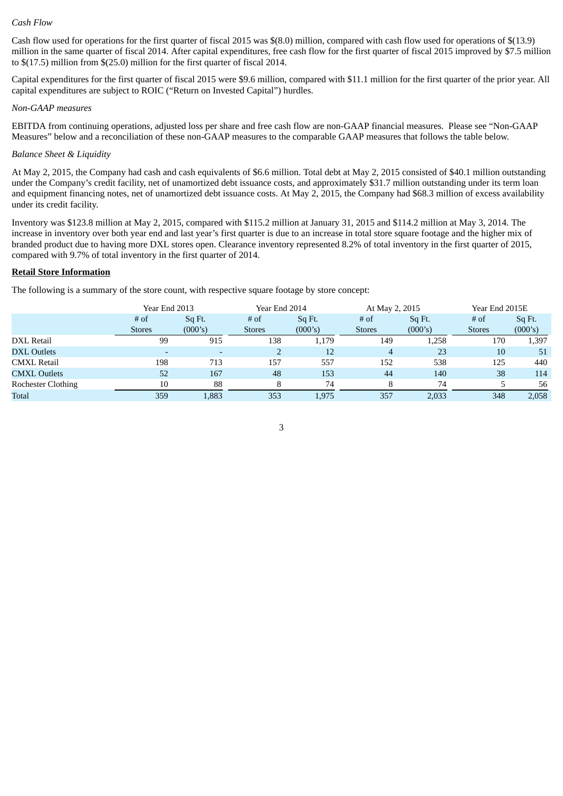#### *Cash Flow*

Cash flow used for operations for the first quarter of fiscal 2015 was \$(8.0) million, compared with cash flow used for operations of \$(13.9) million in the same quarter of fiscal 2014. After capital expenditures, free cash flow for the first quarter of fiscal 2015 improved by \$7.5 million to \$(17.5) million from \$(25.0) million for the first quarter of fiscal 2014.

Capital expenditures for the first quarter of fiscal 2015 were \$9.6 million, compared with \$11.1 million for the first quarter of the prior year. All capital expenditures are subject to ROIC ("Return on Invested Capital") hurdles.

#### *Non-GAAP measures*

EBITDA from continuing operations, adjusted loss per share and free cash flow are non-GAAP financial measures. Please see "Non-GAAP Measures" below and a reconciliation of these non-GAAP measures to the comparable GAAP measures that follows the table below.

#### *Balance Sheet & Liquidity*

At May 2, 2015, the Company had cash and cash equivalents of \$6.6 million. Total debt at May 2, 2015 consisted of \$40.1 million outstanding under the Company's credit facility, net of unamortized debt issuance costs, and approximately \$31.7 million outstanding under its term loan and equipment financing notes, net of unamortized debt issuance costs. At May 2, 2015, the Company had \$68.3 million of excess availability under its credit facility.

Inventory was \$123.8 million at May 2, 2015, compared with \$115.2 million at January 31, 2015 and \$114.2 million at May 3, 2014. The increase in inventory over both year end and last year's first quarter is due to an increase in total store square footage and the higher mix of branded product due to having more DXL stores open. Clearance inventory represented 8.2% of total inventory in the first quarter of 2015, compared with 9.7% of total inventory in the first quarter of 2014.

#### **Retail Store Information**

The following is a summary of the store count, with respective square footage by store concept:

|                           | Year End 2013 |         | Year End 2014 |         | At May 2, 2015 |         | Year End 2015E |         |  |
|---------------------------|---------------|---------|---------------|---------|----------------|---------|----------------|---------|--|
|                           | $#$ of        | Sq Ft.  | $#$ of        | Sq Ft.  | $#$ of         | Sq Ft.  | $#$ of         | Sq Ft.  |  |
|                           | <b>Stores</b> | (000's) | <b>Stores</b> | (000's) | <b>Stores</b>  | (000's) | <b>Stores</b>  | (000's) |  |
| DXL Retail                | 99            | 915     | 138           | 1,179   | 149            | 1,258   | 170            | 1,397   |  |
| <b>DXL Outlets</b>        |               |         |               | 12      | $\overline{4}$ | 23      | 10             | 51      |  |
| <b>CMXL Retail</b>        | 198           | 713     | 157           | 557     | 152            | 538     | 125            | 440     |  |
| <b>CMXL Outlets</b>       | 52            | 167     | 48            | 153     | 44             | 140     | 38             | 114     |  |
| <b>Rochester Clothing</b> | 10            | 88      | 8             | 74      | 8              | 74      |                | 56      |  |
| <b>Total</b>              | 359           | 1,883   | 353           | 1,975   | 357            | 2,033   | 348            | 2,058   |  |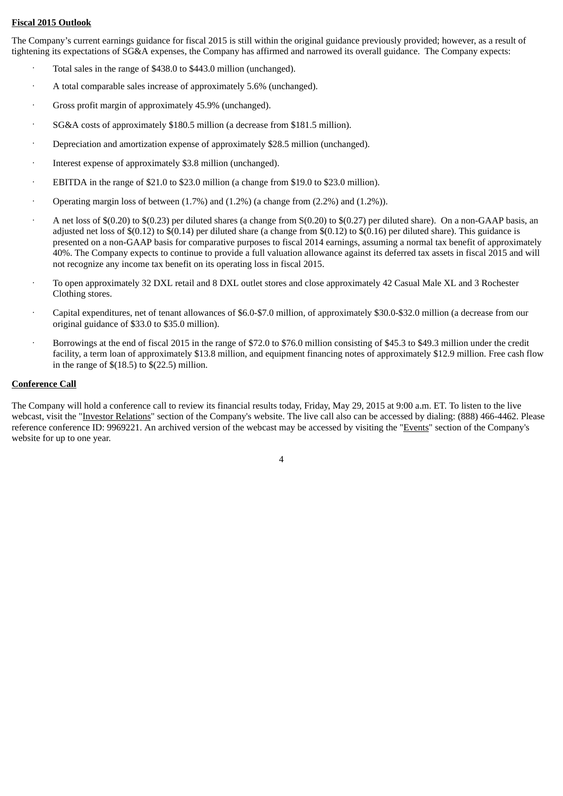#### **Fiscal 2015 Outlook**

The Company's current earnings guidance for fiscal 2015 is still within the original guidance previously provided; however, as a result of tightening its expectations of SG&A expenses, the Company has affirmed and narrowed its overall guidance. The Company expects:

- Total sales in the range of \$438.0 to \$443.0 million (unchanged).
- · A total comparable sales increase of approximately 5.6% (unchanged).
- Gross profit margin of approximately 45.9% (unchanged).
- · SG&A costs of approximately \$180.5 million (a decrease from \$181.5 million).
- · Depreciation and amortization expense of approximately \$28.5 million (unchanged).
- Interest expense of approximately \$3.8 million (unchanged).
- · EBITDA in the range of \$21.0 to \$23.0 million (a change from \$19.0 to \$23.0 million).
- Operating margin loss of between  $(1.7%)$  and  $(1.2%)$  (a change from  $(2.2%)$  and  $(1.2%)$ ).
- · A net loss of \$(0.20) to \$(0.23) per diluted shares (a change from S(0.20) to \$(0.27) per diluted share). On a non-GAAP basis, an adjusted net loss of  $\$(0.12)$  to  $\$(0.14)$  per diluted share (a change from  $\$(0.12)$  to  $\$(0.16)$  per diluted share). This guidance is presented on a non-GAAP basis for comparative purposes to fiscal 2014 earnings, assuming a normal tax benefit of approximately 40%. The Company expects to continue to provide a full valuation allowance against its deferred tax assets in fiscal 2015 and will not recognize any income tax benefit on its operating loss in fiscal 2015.
- · To open approximately 32 DXL retail and 8 DXL outlet stores and close approximately 42 Casual Male XL and 3 Rochester Clothing stores.
- · Capital expenditures, net of tenant allowances of \$6.0-\$7.0 million, of approximately \$30.0-\$32.0 million (a decrease from our original guidance of \$33.0 to \$35.0 million).
- · Borrowings at the end of fiscal 2015 in the range of \$72.0 to \$76.0 million consisting of \$45.3 to \$49.3 million under the credit facility, a term loan of approximately \$13.8 million, and equipment financing notes of approximately \$12.9 million. Free cash flow in the range of  $$(18.5)$  to  $$(22.5)$  million.

#### **Conference Call**

The Company will hold a conference call to review its financial results today, Friday, May 29, 2015 at 9:00 a.m. ET. To listen to the live webcast, visit the "Investor Relations" section of the Company's website. The live call also can be accessed by dialing: (888) 466-4462. Please reference conference ID: 9969221. An archived version of the webcast may be accessed by visiting the "Events" section of the Company's website for up to one year.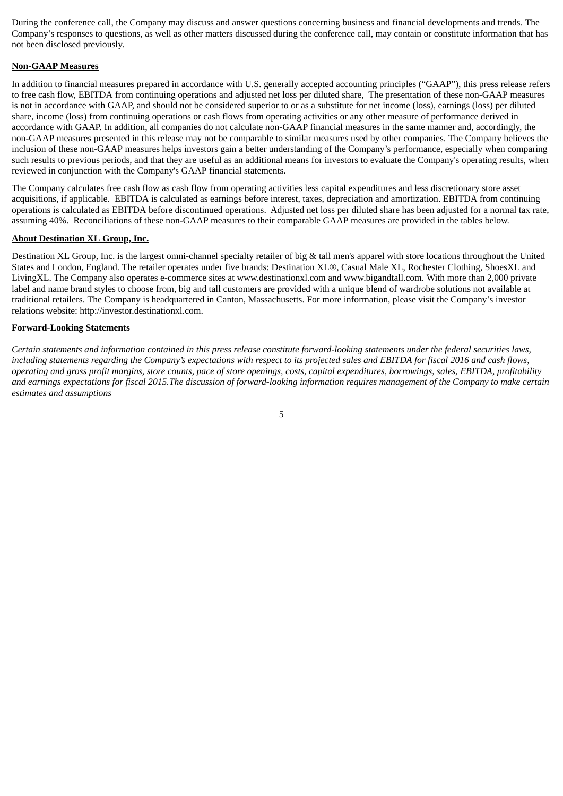During the conference call, the Company may discuss and answer questions concerning business and financial developments and trends. The Company's responses to questions, as well as other matters discussed during the conference call, may contain or constitute information that has not been disclosed previously.

#### **Non-GAAP Measures**

In addition to financial measures prepared in accordance with U.S. generally accepted accounting principles ("GAAP"), this press release refers to free cash flow, EBITDA from continuing operations and adjusted net loss per diluted share, The presentation of these non-GAAP measures is not in accordance with GAAP, and should not be considered superior to or as a substitute for net income (loss), earnings (loss) per diluted share, income (loss) from continuing operations or cash flows from operating activities or any other measure of performance derived in accordance with GAAP. In addition, all companies do not calculate non-GAAP financial measures in the same manner and, accordingly, the non-GAAP measures presented in this release may not be comparable to similar measures used by other companies. The Company believes the inclusion of these non-GAAP measures helps investors gain a better understanding of the Company's performance, especially when comparing such results to previous periods, and that they are useful as an additional means for investors to evaluate the Company's operating results, when reviewed in conjunction with the Company's GAAP financial statements.

The Company calculates free cash flow as cash flow from operating activities less capital expenditures and less discretionary store asset acquisitions, if applicable. EBITDA is calculated as earnings before interest, taxes, depreciation and amortization. EBITDA from continuing operations is calculated as EBITDA before discontinued operations. Adjusted net loss per diluted share has been adjusted for a normal tax rate, assuming 40%. Reconciliations of these non-GAAP measures to their comparable GAAP measures are provided in the tables below.

#### **About Destination XL Group, Inc.**

Destination XL Group, Inc. is the largest omni-channel specialty retailer of big & tall men's apparel with store locations throughout the United States and London, England. The retailer operates under five brands: Destination XL®, Casual Male XL, Rochester Clothing, ShoesXL and LivingXL. The Company also operates e-commerce sites at www.destinationxl.com and www.bigandtall.com. With more than 2,000 private label and name brand styles to choose from, big and tall customers are provided with a unique blend of wardrobe solutions not available at traditional retailers. The Company is headquartered in Canton, Massachusetts. For more information, please visit the Company's investor relations website: http://investor.destinationxl.com.

#### **Forward-Looking Statements**

Certain statements and information contained in this press release constitute forward-looking statements under the federal securities laws, including statements regarding the Company's expectations with respect to its projected sales and EBITDA for fiscal 2016 and cash flows, operating and aross profit margins, store counts, pace of store openings, costs, capital expenditures, borrowings, sales, EBITDA, profitability and earnings expectations for fiscal 2015. The discussion of forward-looking information requires mangaement of the Company to make certain *estimates and assumptions*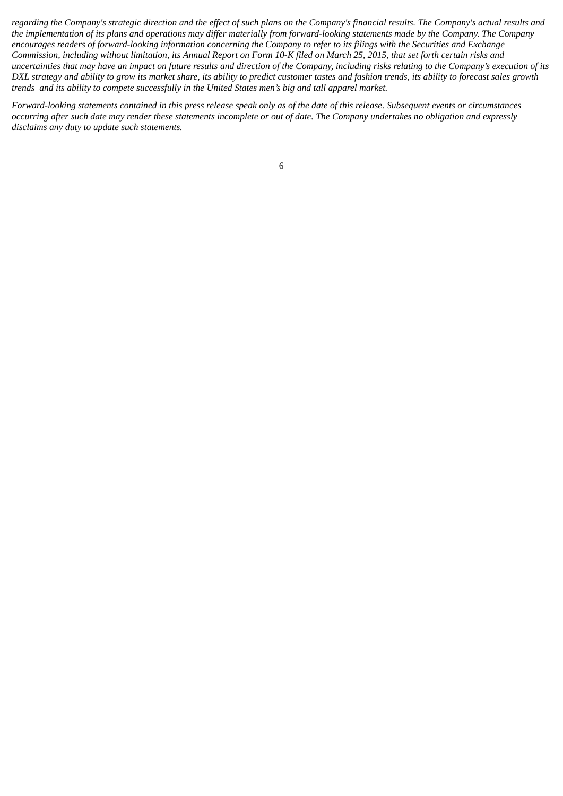regarding the Company's strategic direction and the effect of such plans on the Company's financial results. The Company's actual results and the implementation of its plans and operations may differ materially from forward-looking statements made by the Company. The Company encourages readers of forward-looking information concerning the Company to refer to its filings with the Securities and Exchange Commission, including without limitation, its Annual Report on Form 10-K filed on March 25, 2015, that set forth certain risks and uncertainties that may have an impact on future results and direction of the Company, including risks relating to the Company's execution of its DXL strategy and ability to grow its market share, its ability to predict customer tastes and fashion trends, its ability to forecast sales growth *trends and its ability to compete successfully in the United States men's big and tall apparel market.*

Forward-looking statements contained in this press release speak only as of the date of this release. Subsequent events or circumstances occurring after such date may render these statements incomplete or out of date. The Company undertakes no obligation and expressly *disclaims any duty to update such statements.*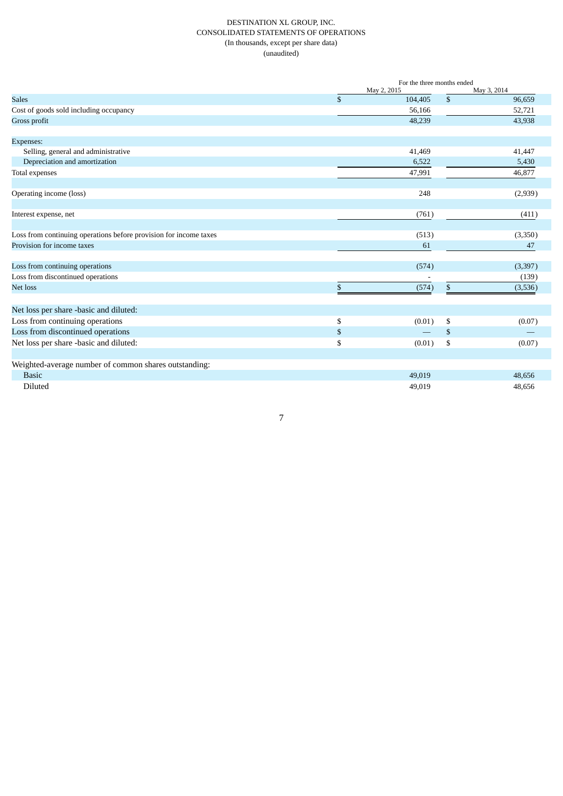#### DESTINATION XL GROUP, INC. CONSOLIDATED STATEMENTS OF OPERATIONS (In thousands, except per share data) (unaudited)

|                                                                   | For the three months ended |                |             |  |  |
|-------------------------------------------------------------------|----------------------------|----------------|-------------|--|--|
|                                                                   | May 2, 2015                |                | May 3, 2014 |  |  |
| <b>Sales</b>                                                      | \$<br>104,405              | \$             | 96,659      |  |  |
| Cost of goods sold including occupancy                            | 56,166                     |                | 52,721      |  |  |
| Gross profit                                                      | 48,239                     |                | 43,938      |  |  |
| Expenses:                                                         |                            |                |             |  |  |
| Selling, general and administrative                               | 41,469                     |                | 41,447      |  |  |
| Depreciation and amortization                                     | 6,522                      |                | 5,430       |  |  |
| Total expenses                                                    | 47,991                     |                | 46,877      |  |  |
| Operating income (loss)                                           | 248                        |                | (2,939)     |  |  |
|                                                                   |                            |                |             |  |  |
| Interest expense, net                                             | (761)                      |                | (411)       |  |  |
| Loss from continuing operations before provision for income taxes | (513)                      |                | (3,350)     |  |  |
| Provision for income taxes                                        | 61                         |                | 47          |  |  |
| Loss from continuing operations                                   | (574)                      |                | (3, 397)    |  |  |
| Loss from discontinued operations                                 |                            |                | (139)       |  |  |
| Net loss                                                          | \$<br>(574)                | \$             | (3,536)     |  |  |
| Net loss per share -basic and diluted:                            |                            |                |             |  |  |
| Loss from continuing operations                                   |                            |                |             |  |  |
|                                                                   | \$<br>(0.01)               | \$             | (0.07)      |  |  |
| Loss from discontinued operations                                 | \$                         | $\mathfrak{F}$ |             |  |  |
| Net loss per share -basic and diluted:                            | \$<br>(0.01)               | \$             | (0.07)      |  |  |
| Weighted-average number of common shares outstanding:             |                            |                |             |  |  |
| <b>Basic</b>                                                      | 49,019                     |                | 48,656      |  |  |
| Diluted                                                           | 49,019                     |                | 48,656      |  |  |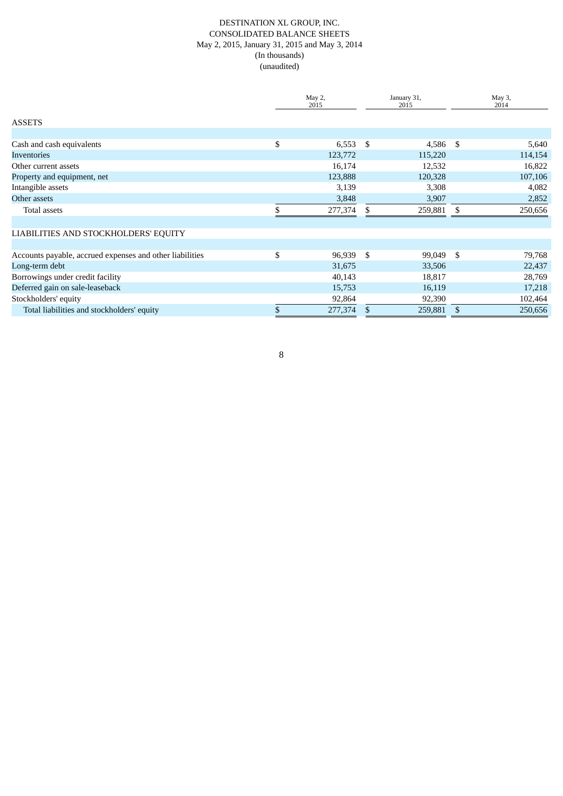#### DESTINATION XL GROUP, INC. CONSOLIDATED BALANCE SHEETS May 2, 2015, January 31, 2015 and May 3, 2014 (In thousands) (unaudited)

|                                                          |    | May 2,<br>2015 |      | January 31,<br>2015 | May 3,<br>2014 |         |
|----------------------------------------------------------|----|----------------|------|---------------------|----------------|---------|
| <b>ASSETS</b>                                            |    |                |      |                     |                |         |
|                                                          |    |                |      |                     |                |         |
| Cash and cash equivalents                                | \$ | 6,553          | - \$ | 4,586               | -S             | 5,640   |
| <b>Inventories</b>                                       |    | 123,772        |      | 115,220             |                | 114,154 |
| Other current assets                                     |    | 16,174         |      | 12,532              |                | 16,822  |
| Property and equipment, net                              |    | 123,888        |      | 120,328             |                | 107,106 |
| Intangible assets                                        |    | 3,139          |      | 3,308               |                | 4,082   |
| Other assets                                             |    | 3,848          |      | 3,907               |                | 2,852   |
| Total assets                                             |    | 277,374        |      | 259,881             |                | 250,656 |
| LIABILITIES AND STOCKHOLDERS' EQUITY                     |    |                |      |                     |                |         |
|                                                          |    |                |      |                     |                |         |
| Accounts payable, accrued expenses and other liabilities | \$ | 96,939         | -\$  | 99,049              | \$             | 79,768  |
| Long-term debt                                           |    | 31,675         |      | 33,506              |                | 22,437  |
| Borrowings under credit facility                         |    | 40,143         |      | 18,817              |                | 28,769  |
| Deferred gain on sale-leaseback                          |    | 15,753         |      | 16,119              |                | 17,218  |
| Stockholders' equity                                     |    | 92,864         |      | 92,390              |                | 102,464 |
| Total liabilities and stockholders' equity               |    | 277,374        | \$   | 259,881             | \$             | 250,656 |